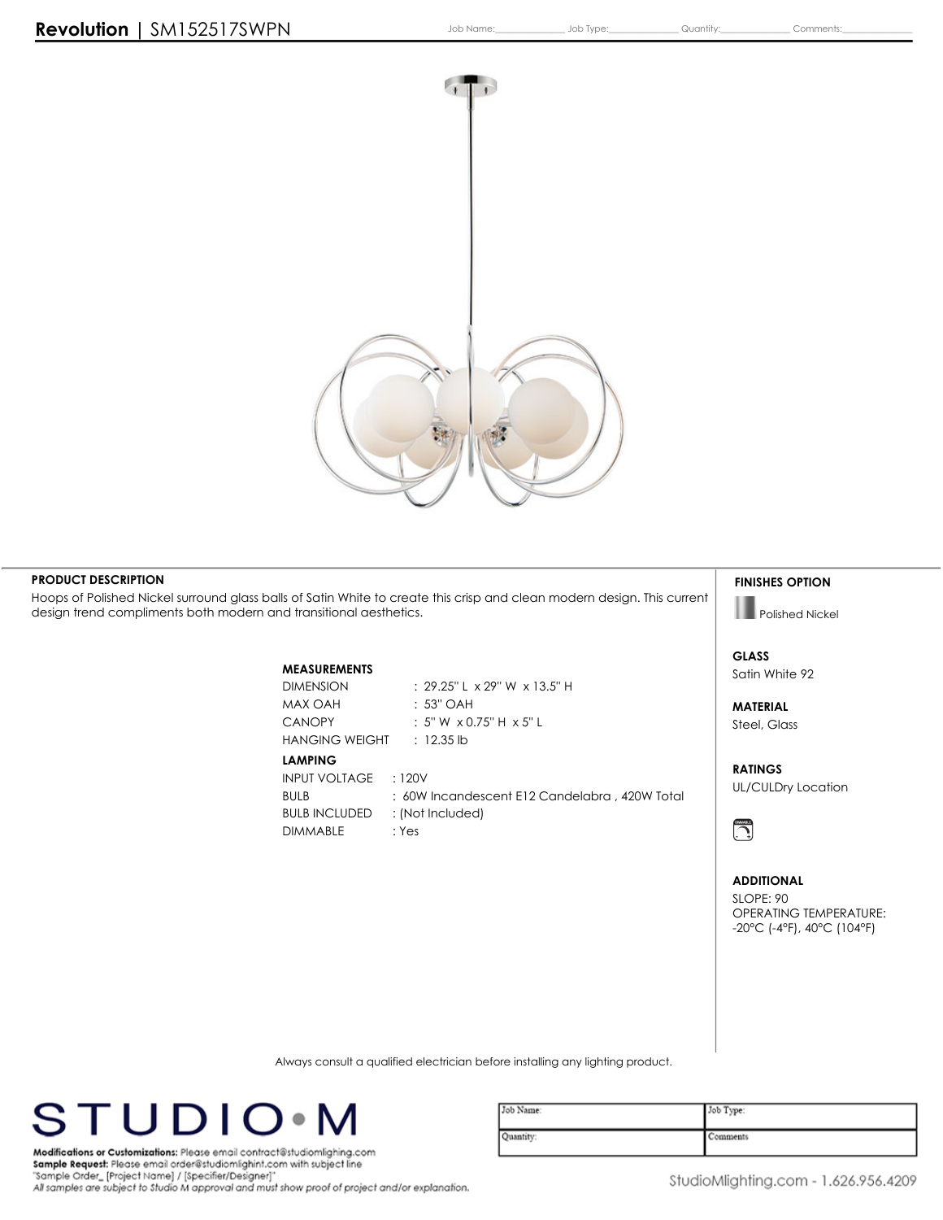

### **PRODUCT DESCRIPTION**

Hoops of Polished Nickel surround glass balls of Satin White to create this crisp and clean modern design. This current **design trend compliments both modern and transitional aesthetics.**

# **MEASUREMENTS**

**MAX OAH : 53'' OAH HANGING WEIGHT : 12.35 lb**

**LAMPING**

**DIMENSION : 29.25'' L x 29'' W x 13.5'' H CANOPY : 5'' W x 0.75'' H x 5'' L**

**INPUT VOLTAGE : 120V BULB : 60W Incandescent E12 Candelabra , 420W Total BULB INCLUDED : (Not Included) DIMMABLE : Yes**

#### **FINISHES OPTION**

**Polished Nickel**

**GLASS Satin White 92**

**MATERIAL Steel, Glass**

**RATINGS UL/CULDry Location**



### **ADDITIONAL**

**SLOPE: 90 OPERATING TEMPERATURE: -20°C (-4°F), 40°C (104°F)**

**Always consult a qualified electrician before installing any lighting product.**



| Job Name: | Job Type: |
|-----------|-----------|
| Quantity: | Comments  |

Modifications or Customizations: Please email contract@studiomlighing.com Sample Request: Please email order@studiomlighint.com with subject line "Sample Order\_[Project Name] / [Specifier/Designer]" All samples are subject to Studio M approval and must show proof of project and/or explanation.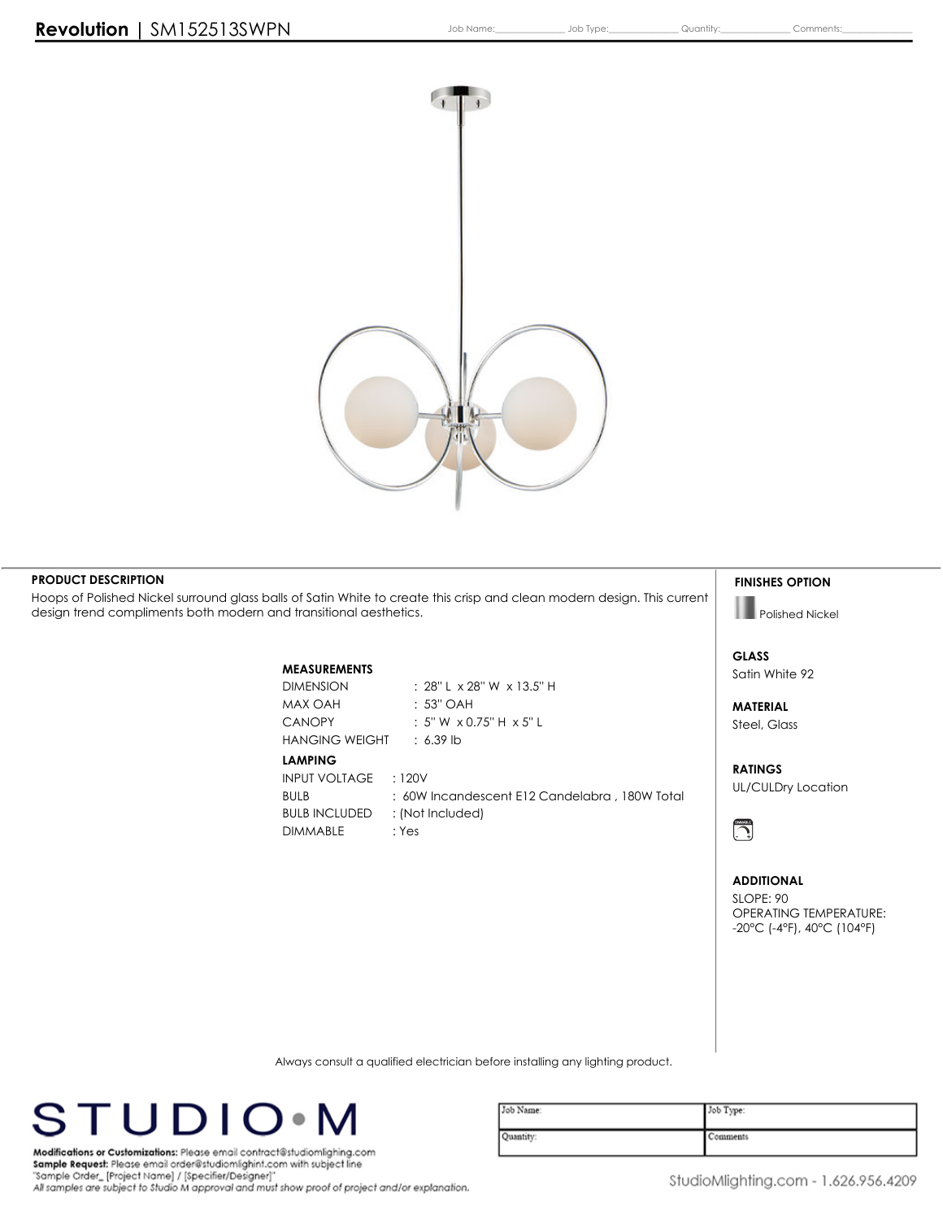

## **PRODUCT DESCRIPTION**

Hoops of Polished Nickel surround glass balls of Satin White to create this crisp and clean modern design. This current **design trend compliments both modern and transitional aesthetics.**

# **MEASUREMENTS**

**MAX OAH : 53'' OAH HANGING WEIGHT : 6.39 lb**

**DIMMABLE : Yes**

**DIMENSION : 28'' L x 28'' W x 13.5'' H CANOPY : 5'' W x 0.75'' H x 5'' L**

**LAMPING INPUT VOLTAGE : 120V BULB : 60W Incandescent E12 Candelabra , 180W Total BULB INCLUDED : (Not Included)**

**FINISHES OPTION**

**Polished Nickel**

**GLASS Satin White 92**

**MATERIAL Steel, Glass**

**RATINGS UL/CULDry Location**



#### **ADDITIONAL**

**SLOPE: 90 OPERATING TEMPERATURE: -20°C (-4°F), 40°C (104°F)**

**Always consult a qualified electrician before installing any lighting product.**



| Job Name: | Job Type: |
|-----------|-----------|
| Quantity: | Comments  |

Modifications or Customizations: Please email contract@studiomlighing.com Sample Request: Please email order@studiomlighint.com with subject line "Sample Order\_[Project Name] / [Specifier/Designer]" All samples are subject to Studio M approval and must show proof of project and/or explanation.

StudioMlighting.com - 1.626.956.4209